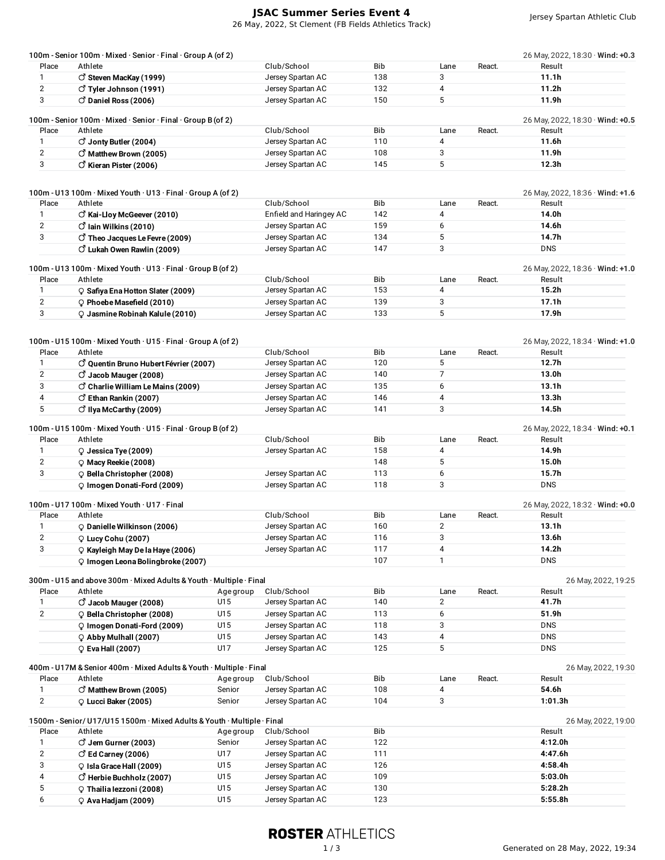## **JSAC Summer Series Event 4**

26 May, 2022, St Clement (FB Fields Athletics Track)

|                | 100m - Senior 100m · Mixed · Senior · Final · Group A (of 2)            |            |                                        |            |                |        | 26 May, 2022, 18:30 · Wind: +0.3       |
|----------------|-------------------------------------------------------------------------|------------|----------------------------------------|------------|----------------|--------|----------------------------------------|
| Place          | Athlete                                                                 |            | Club/School                            | Bib        | Lane           | React. | Result                                 |
| $\mathbf{1}$   | $\vec{C}$ Steven MacKay (1999)                                          |            | Jersey Spartan AC                      | 138        | 3              |        | 11.1h                                  |
| $\overline{2}$ | ♂ Tyler Johnson (1991)                                                  |            | Jersey Spartan AC                      | 132        | 4              |        | 11.2 <sub>h</sub>                      |
| 3              | $\circ$ Daniel Ross (2006)                                              |            | Jersey Spartan AC                      | 150        | 5              |        | 11.9h                                  |
|                | 100m - Senior 100m · Mixed · Senior · Final · Group B (of 2)            |            |                                        |            |                |        | 26 May, 2022, 18:30 · Wind: +0.5       |
| Place          | Athlete                                                                 |            | Club/School                            | <b>Bib</b> | Lane           | React. | Result                                 |
| $\mathbf{1}$   | $\vec{C}$ Jonty Butler (2004)                                           |            | Jersey Spartan AC                      | 110        | 4              |        | 11.6h                                  |
| $\overline{2}$ | O Matthew Brown (2005)                                                  |            | Jersey Spartan AC                      | 108        | 3              |        | 11.9h                                  |
| 3              | $\vec{O}$ Kieran Pister (2006)                                          |            | Jersey Spartan AC                      | 145        | 5              |        | 12.3 <sub>h</sub>                      |
|                |                                                                         |            |                                        |            |                |        |                                        |
|                | 100m - U13 100m · Mixed Youth · U13 · Final · Group A (of 2)            |            |                                        |            |                |        | 26 May, 2022, 18:36 $\cdot$ Wind: +1.6 |
| Place          | Athlete                                                                 |            | Club/School                            | <b>Bib</b> | Lane           | React. | Result                                 |
| $\mathbf{1}$   | C Kai-Lloy McGeever (2010)                                              |            | Enfield and Haringey AC                | 142        | 4              |        | 14.0h                                  |
| $\overline{2}$ | $\circlearrowleft$ lain Wilkins (2010)                                  |            | Jersey Spartan AC                      | 159        | 6              |        | 14.6h                                  |
| 3              | $\circlearrowleft$ Theo Jacques Le Fevre (2009)                         |            | Jersey Spartan AC                      | 134        | 5              |        | 14.7h                                  |
|                | $\vec{C}$ Lukah Owen Rawlin (2009)                                      |            | Jersey Spartan AC                      | 147        | 3              |        | <b>DNS</b>                             |
|                |                                                                         |            |                                        |            |                |        |                                        |
|                | 100m - U13 100m · Mixed Youth · U13 · Final · Group B (of 2)            |            |                                        |            |                |        | 26 May, 2022, 18:36 · Wind: +1.0       |
| Place          | Athlete                                                                 |            | Club/School                            | Bib        | Lane           | React. | Result                                 |
| 1              | C Safiya Ena Hotton Slater (2009)                                       |            | Jersey Spartan AC                      | 153        | 4              |        | 15.2 <sub>h</sub>                      |
| $\overline{2}$ | $Q$ Phoebe Masefield (2010)                                             |            | Jersey Spartan AC                      | 139        | 3              |        | 17.1h                                  |
| 3              | $\circ$ Jasmine Robinah Kalule (2010)                                   |            | Jersey Spartan AC                      | 133        | 5              |        | 17.9h                                  |
|                |                                                                         |            |                                        |            |                |        |                                        |
|                | 100m - U15 100m · Mixed Youth · U15 · Final · Group A (of 2)            |            |                                        |            |                |        | 26 May, 2022, 18:34 · Wind: +1.0       |
| Place          | Athlete                                                                 |            | Club/School                            | <b>Bib</b> | Lane           | React. | Result                                 |
| $\mathbf{1}$   | $\circlearrowleft$ Quentin Bruno Hubert Février (2007)                  |            | Jersey Spartan AC                      | 120        | 5              |        | 12.7 <sub>h</sub>                      |
| $\overline{2}$ | $\vec{C}$ Jacob Mauger (2008)                                           |            | Jersey Spartan AC                      | 140        | $\overline{7}$ |        | 13.0h                                  |
| 3              | $\circlearrowleft$ Charlie William Le Mains (2009)                      |            | Jersey Spartan AC                      | 135        | 6              |        | 13.1 <sub>h</sub>                      |
| 4              | $\vec{C}$ Ethan Rankin (2007)                                           |            | Jersey Spartan AC                      | 146        | 4              |        | 13.3 <sub>h</sub>                      |
| 5              | $\circlearrowleft$ Ilya McCarthy (2009)                                 |            | Jersey Spartan AC                      | 141        | 3              |        | 14.5h                                  |
|                | 100m - U15 100m · Mixed Youth · U15 · Final · Group B (of 2)            |            |                                        |            |                |        | 26 May, 2022, 18:34 · Wind: +0.1       |
| Place          | Athlete                                                                 |            | Club/School                            | Bib        | Lane           | React. | Result                                 |
| 1              | Q Jessica Tye (2009)                                                    |            | Jersey Spartan AC                      | 158        | 4              |        | 14.9h                                  |
| $\overline{2}$ |                                                                         |            |                                        | 148        | 5              |        | 15.0h                                  |
|                | $\circ$ Macy Reekie (2008)                                              |            |                                        |            |                |        |                                        |
| 3              | P Bella Christopher (2008)                                              |            | Jersey Spartan AC                      | 113        | 6              |        | 15.7h                                  |
|                | Q Imogen Donati-Ford (2009)                                             |            | Jersey Spartan AC                      | 118        | 3              |        | <b>DNS</b>                             |
|                | 100m - U17 100m · Mixed Youth · U17 · Final                             |            |                                        |            |                |        | 26 May, 2022, 18:32 · Wind: +0.0       |
| Place          | Athlete                                                                 |            | Club/School                            | Bib        | Lane           | React. | Result                                 |
| $\mathbf{1}$   | O Danielle Wilkinson (2006)                                             |            | Jersey Spartan AC                      | 160        | $\overline{2}$ |        | 13.1 <sub>h</sub>                      |
| $\overline{2}$ | C Lucy Cohu (2007)                                                      |            | Jersey Spartan AC                      | 116        | 3              |        | 13.6h                                  |
| 3              | Q Kayleigh May De la Haye (2006)                                        |            | Jersey Spartan AC                      | 117        | 4              |        | 14.2h                                  |
|                | $Q$ Imogen Leona Bolingbroke (2007)                                     |            |                                        | 107        | 1              |        | <b>DNS</b>                             |
|                | 300m - U15 and above 300m · Mixed Adults & Youth · Multiple · Final     |            |                                        |            |                |        | 26 May, 2022, 19:25                    |
| Place          | Athlete                                                                 | Age group  | Club/School                            | Bib        | Lane           | React. | Result                                 |
| $\mathbf{1}$   | $\vec{C}$ Jacob Mauger (2008)                                           | U15        | Jersey Spartan AC                      | 140        | $\overline{2}$ |        | 41.7h                                  |
| $\overline{2}$ | $\circ$ Bella Christopher (2008)                                        | U15        | Jersey Spartan AC                      | 113        | 6              |        | 51.9h                                  |
|                |                                                                         | U15        | Jersey Spartan AC                      | 118        | 3              |        | <b>DNS</b>                             |
|                | $Q$ Imogen Donati-Ford (2009)                                           |            |                                        |            | 4              |        |                                        |
|                | $\circ$ Abby Mulhall (2007)                                             | U15        | Jersey Spartan AC                      | 143        | 5              |        | <b>DNS</b><br><b>DNS</b>               |
|                | $\circ$ Eva Hall (2007)                                                 | U17        | Jersey Spartan AC                      | 125        |                |        |                                        |
|                | 400m - U17M & Senior 400m · Mixed Adults & Youth · Multiple · Final     |            |                                        |            |                |        | 26 May, 2022, 19:30                    |
| Place          | Athlete                                                                 | Age group  | Club/School                            | Bib        | Lane           | React. | Result                                 |
| 1              | $\circlearrowleft$ Matthew Brown (2005)                                 | Senior     | Jersey Spartan AC                      | 108        | 4              |        | 54.6h                                  |
| $\mathbf{2}$   | $Q$ Lucci Baker (2005)                                                  | Senior     | Jersey Spartan AC                      | 104        | 3              |        | 1:01.3h                                |
|                | 1500m - Senior/ U17/U15 1500m · Mixed Adults & Youth · Multiple · Final |            |                                        |            |                |        | 26 May, 2022, 19:00                    |
| Place          | Athlete                                                                 | Age group  | Club/School                            | Bib        |                |        | Result                                 |
| 1              | $\circlearrowleft$ Jem Gurner (2003)                                    | Senior     | Jersey Spartan AC                      | 122        |                |        | 4:12.0h                                |
| $\overline{2}$ | $\circlearrowleft$ Ed Carney (2006)                                     | U17        | Jersey Spartan AC                      | 111        |                |        | 4:47.6h                                |
| 3              | $\circ$ Isla Grace Hall (2009)                                          | U15        | Jersey Spartan AC                      | 126        |                |        | 4:58.4h                                |
|                | $\circlearrowleft$ Herbie Buchholz (2007)                               | U15        | Jersey Spartan AC                      | 109        |                |        | 5:03.0h                                |
|                |                                                                         |            |                                        |            |                |        |                                        |
| 4              |                                                                         |            |                                        |            |                |        |                                        |
| 5<br>6         | C Thailia lezzoni (2008)<br>$\circ$ Ava Hadjam (2009)                   | U15<br>U15 | Jersey Spartan AC<br>Jersey Spartan AC | 130<br>123 |                |        | 5:28.2h<br>5:55.8h                     |

## **ROSTER ATHLETICS**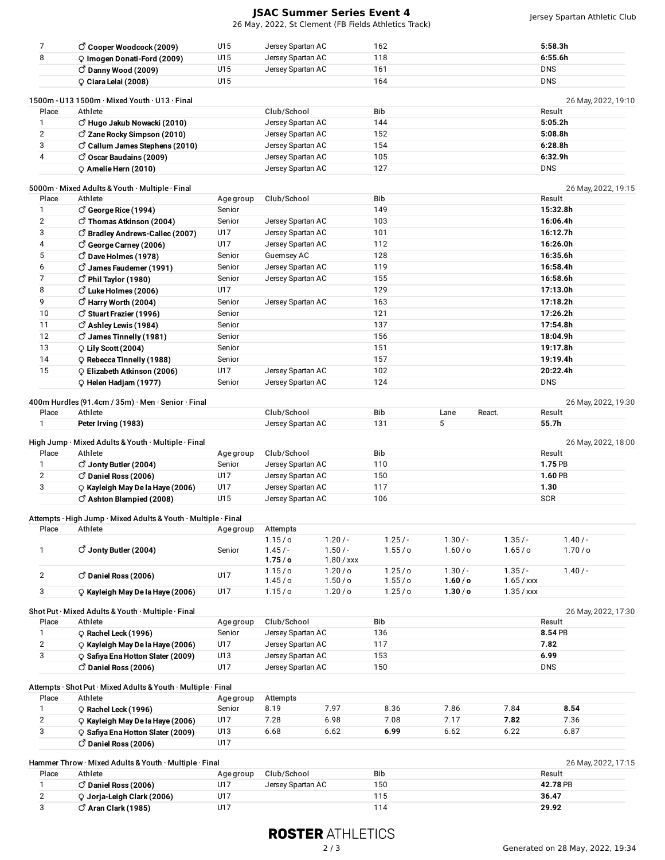## **JSAC Summer Series Event 4**

26 May, 2022, St Clement (FB Fields Athletics Track)

| 7                       | $\vec{C}$ Cooper Woodcock (2009)                               | U15       | Jersey Spartan AC  |                      | 162        |          |                    | 5:58.3h               |
|-------------------------|----------------------------------------------------------------|-----------|--------------------|----------------------|------------|----------|--------------------|-----------------------|
| 8                       | P Imogen Donati-Ford (2009)                                    | U15       | Jersey Spartan AC  |                      | 118        |          |                    | 6:55.6h               |
|                         | $\circ$ Danny Wood (2009)                                      | U15       | Jersey Spartan AC  |                      | 161        |          |                    | <b>DNS</b>            |
|                         | Ciara Lelai (2008)                                             | U15       |                    |                      | 164        |          |                    | <b>DNS</b>            |
|                         | 1500m - U13 1500m · Mixed Youth · U13 · Final                  |           |                    |                      |            |          |                    | 26 May, 2022, 19:10   |
| Place                   | Athlete                                                        |           | Club/School        |                      | Bib        |          |                    | Result                |
| 1                       | $\circlearrowleft$ Hugo Jakub Nowacki (2010)                   |           | Jersey Spartan AC  |                      | 144        |          |                    | 5:05.2h               |
| $\overline{2}$          | C Zane Rocky Simpson (2010)                                    |           | Jersey Spartan AC  |                      | 152        |          |                    | 5:08.8h               |
| 3                       |                                                                |           |                    |                      | 154        |          |                    | 6:28.8h               |
|                         | $\circ$ Callum James Stephens (2010)                           |           | Jersey Spartan AC  |                      |            |          |                    |                       |
| 4                       | $\circ$ Oscar Baudains (2009)                                  |           | Jersey Spartan AC  |                      | 105<br>127 |          |                    | 6:32.9h<br><b>DNS</b> |
|                         | $Q$ Amelie Hern (2010)                                         |           | Jersey Spartan AC  |                      |            |          |                    |                       |
|                         | 5000m · Mixed Adults & Youth · Multiple · Final                |           |                    |                      |            |          |                    | 26 May, 2022, 19:15   |
| Place                   | Athlete                                                        | Age group | Club/School        |                      | Bib        |          |                    | Result                |
| $\mathbf{1}$            | $\circ$ George Rice (1994)                                     | Senior    |                    |                      | 149        |          |                    | 15:32.8h              |
| $\overline{2}$          | ♂ Thomas Atkinson (2004)                                       | Senior    | Jersey Spartan AC  |                      | 103        |          |                    | 16:06.4h              |
| 3                       | O Bradley Andrews-Callec (2007)                                | U17       | Jersey Spartan AC  |                      | 101        |          |                    | 16:12.7h              |
| 4                       | C George Carney (2006)                                         | U17       | Jersey Spartan AC  |                      | 112        |          |                    | 16:26.0h              |
| 5                       | C Dave Holmes (1978)                                           | Senior    | Guernsey AC        |                      | 128        |          |                    | 16:35.6h              |
| 6                       | ♂ James Faudemer (1991)                                        | Senior    | Jersey Spartan AC  |                      | 119        |          |                    | 16:58.4h              |
| $\overline{7}$          | $\circlearrowleft$ Phil Taylor (1980)                          | Senior    | Jersey Spartan AC  |                      | 155        |          |                    | 16:58.6h              |
| 8                       | C Luke Holmes (2006)                                           | U17       |                    |                      | 129        |          |                    | 17:13.0h              |
| 9                       | $\circlearrowleft$ Harry Worth (2004)                          | Senior    | Jersey Spartan AC  |                      | 163        |          |                    | 17:18.2h              |
| 10                      | C Stuart Frazier (1996)                                        | Senior    |                    |                      | 121        |          |                    | 17:26.2h              |
| 11                      | $\circ$ Ashley Lewis (1984)                                    | Senior    |                    |                      | 137        |          |                    | 17:54.8h              |
| 12                      | $\vec{O}$ James Tinnelly (1981)                                | Senior    |                    |                      | 156        |          |                    | 18:04.9h              |
| 13                      |                                                                | Senior    |                    |                      | 151        |          |                    | 19:17.8h              |
|                         | $Q$ Lily Scott (2004)                                          |           |                    |                      | 157        |          |                    |                       |
| 14                      | $\circ$ Rebecca Tinnelly (1988)                                | Senior    |                    |                      |            |          |                    | 19:19.4h              |
| 15                      | $\circ$ Elizabeth Atkinson (2006)                              | U17       | Jersey Spartan AC  |                      | 102        |          |                    | 20:22.4h              |
|                         | $Q$ Helen Hadjam (1977)                                        | Senior    | Jersey Spartan AC  |                      | 124        |          |                    | <b>DNS</b>            |
|                         | 400m Hurdles (91.4cm / 35m) · Men · Senior · Final             |           |                    |                      |            |          |                    | 26 May, 2022, 19:30   |
| Place                   | Athlete                                                        |           | Club/School        |                      | Bib        | Lane     | React.             | Result                |
| $\mathbf{1}$            | Peter Irving (1983)                                            |           | Jersey Spartan AC  |                      | 131        | 5        |                    | 55.7h                 |
|                         |                                                                |           |                    |                      |            |          |                    |                       |
|                         | High Jump · Mixed Adults & Youth · Multiple · Final            |           |                    |                      |            |          |                    | 26 May, 2022, 18:00   |
| Place                   | Athlete                                                        | Age group | Club/School        |                      | Bib        |          |                    | Result                |
| $\mathbf{1}$            | $\vec{C}$ Jonty Butler (2004)                                  | Senior    | Jersey Spartan AC  |                      | 110        |          |                    | 1.75 PB               |
| $\overline{\mathbf{c}}$ | $\circ$ Daniel Ross (2006)                                     | U17       | Jersey Spartan AC  |                      | 150        |          | 1.60 PB            |                       |
| 3                       | C Kayleigh May De la Haye (2006)                               | U17       | Jersey Spartan AC  |                      | 117        |          |                    | 1.30                  |
|                         | $\vec{O}$ Ashton Blampied (2008)                               | U15       | Jersey Spartan AC  |                      | 106        |          |                    | <b>SCR</b>            |
|                         |                                                                |           |                    |                      |            |          |                    |                       |
|                         | Attempts · High Jump · Mixed Adults & Youth · Multiple · Final |           |                    |                      |            |          |                    |                       |
| Place                   | Athlete                                                        | Age group | Attempts           |                      | $1.25/-$   | $1.30/-$ | $1.35/-$           | $1.40/-$              |
| 1                       | $\vec{C}$ Jonty Butler (2004)                                  | Senior    | 1.15/c<br>$1.45/-$ | $1.20/-$<br>$1.50/-$ | 1.55 / o   | 1.60 / o | 1.65/ <sub>o</sub> | 1.70/o                |
|                         |                                                                |           | 1.75/ <sub>o</sub> | $1.80 /$ xxx         |            |          |                    |                       |
|                         |                                                                |           | 1.15/c             | 1.20 / o             | $1.25$ /o  | $1.30/-$ | $1.35/-$           | $1.40/-$              |
| $\overline{2}$          | $\circ$ Daniel Ross (2006)                                     | U17       | 1.45/ <sub>o</sub> | $1.50/$ o            | 1.55/c     | 1.60 / o | $1.65 /$ xxx       |                       |
| 3                       | $\circ$ Kayleigh May De la Haye (2006)                         | U17       | 1.15/c             | 1.20 / o             | 1.25/°     | 1.30 / o | $1.35 /$ xxx       |                       |
|                         |                                                                |           |                    |                      |            |          |                    |                       |
|                         | Shot Put · Mixed Adults & Youth · Multiple · Final             |           |                    |                      |            |          |                    | 26 May, 2022, 17:30   |
| Place                   | Athlete                                                        | Age group | Club/School        |                      | Bib        |          |                    | Result                |
| $\mathbf{1}$            | $Q$ Rachel Leck (1996)                                         | Senior    | Jersey Spartan AC  |                      | 136        |          |                    | 8.54 PB               |
| $\mathbf{2}$            | C Kayleigh May De la Haye (2006)                               | U17       | Jersey Spartan AC  |                      | 117        |          |                    | 7.82                  |
| 3                       | C Safiya Ena Hotton Slater (2009)                              | U13       | Jersey Spartan AC  |                      | 153        |          |                    | 6.99                  |
|                         | $\circ$ Daniel Ross (2006)                                     | U17       | Jersey Spartan AC  |                      | 150        |          |                    | <b>DNS</b>            |
|                         |                                                                |           |                    |                      |            |          |                    |                       |
|                         | Attempts · Shot Put · Mixed Adults & Youth · Multiple · Final  |           |                    |                      |            |          |                    |                       |
| Place                   | Athlete                                                        | Age group | Attempts           |                      |            |          |                    |                       |
| $\mathbf{1}$            | $\circ$ Rachel Leck (1996)                                     | Senior    | 8.19               | 7.97                 | 8.36       | 7.86     | 7.84               | 8.54                  |
| $\sqrt{2}$              | C Kayleigh May De la Haye (2006)                               | U17       | 7.28               | 6.98                 | 7.08       | 7.17     | 7.82               | 7.36                  |
| 3                       | C Safiya Ena Hotton Slater (2009)                              | U13       | 6.68               | 6.62                 | 6.99       | 6.62     | 6.22               | 6.87                  |
|                         | $\vec{O}$ Daniel Ross (2006)                                   | U17       |                    |                      |            |          |                    |                       |
|                         | Hammer Throw · Mixed Adults & Youth · Multiple · Final         |           |                    |                      |            |          |                    | 26 May, 2022, 17:15   |
| Place                   | Athlete                                                        | Age group | Club/School        |                      | Bib        |          |                    | Result                |
| $\mathbf{1}$            | $\circ$ Daniel Ross (2006)                                     | U17       | Jersey Spartan AC  |                      | 150        |          |                    | 42.78 PB              |
| $\mathbf{2}$            | Q Jorja-Leigh Clark (2006)                                     | U17       |                    |                      | 115        |          |                    | 36.47                 |
| 3                       | $\circlearrowleft$ Aran Clark (1985)                           | U17       |                    |                      | 114        |          |                    | 29.92                 |
|                         |                                                                |           |                    |                      |            |          |                    |                       |